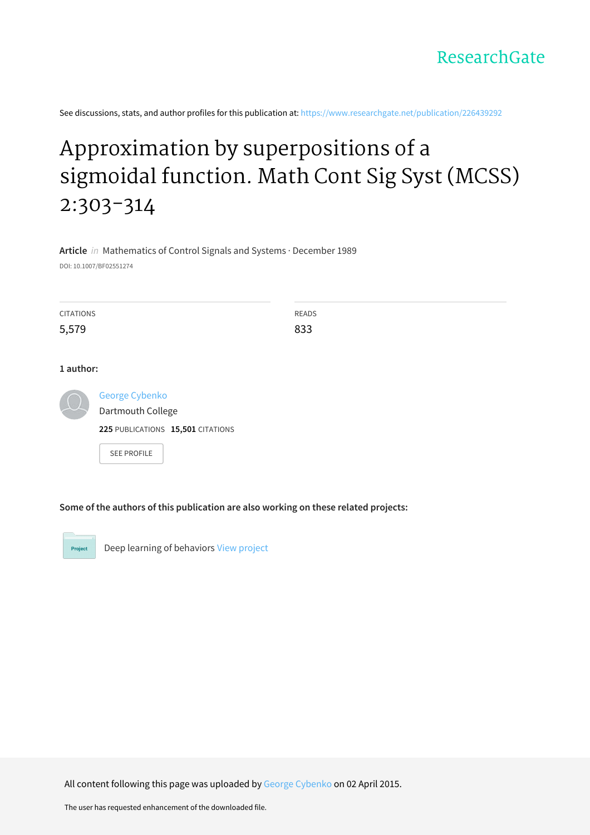See discussions, stats, and author profiles for this publication at: [https://www.researchgate.net/publication/226439292](https://www.researchgate.net/publication/226439292_Approximation_by_superpositions_of_a_sigmoidal_function_Math_Cont_Sig_Syst_MCSS_2303-314?enrichId=rgreq-e83c8f99efe98033aa9e47c726c0c707-XXX&enrichSource=Y292ZXJQYWdlOzIyNjQzOTI5MjtBUzoyMTM3OTcwMDEyNzMzNjBAMTQyNzk4NDU4NTU4MQ%3D%3D&el=1_x_2&_esc=publicationCoverPdf)

# [Approximation](https://www.researchgate.net/publication/226439292_Approximation_by_superpositions_of_a_sigmoidal_function_Math_Cont_Sig_Syst_MCSS_2303-314?enrichId=rgreq-e83c8f99efe98033aa9e47c726c0c707-XXX&enrichSource=Y292ZXJQYWdlOzIyNjQzOTI5MjtBUzoyMTM3OTcwMDEyNzMzNjBAMTQyNzk4NDU4NTU4MQ%3D%3D&el=1_x_3&_esc=publicationCoverPdf) by superpositions of a sigmoidal function. Math Cont Sig Syst (MCSS) 2:303-314

**Article** in Mathematics of Control Signals and Systems · December 1989 DOI: 10.1007/BF02551274

| <b>CITATIONS</b><br>5,579 |                                                                          | <b>READS</b><br>833 |
|---------------------------|--------------------------------------------------------------------------|---------------------|
| 1 author:                 |                                                                          |                     |
|                           | George Cybenko<br>Dartmouth College<br>225 PUBLICATIONS 15,501 CITATIONS |                     |
|                           | <b>SEE PROFILE</b>                                                       |                     |

**Some of the authors of this publication are also working on these related projects:**



Deep learning of behaviors View [project](https://www.researchgate.net/project/Deep-learning-of-behaviors?enrichId=rgreq-e83c8f99efe98033aa9e47c726c0c707-XXX&enrichSource=Y292ZXJQYWdlOzIyNjQzOTI5MjtBUzoyMTM3OTcwMDEyNzMzNjBAMTQyNzk4NDU4NTU4MQ%3D%3D&el=1_x_9&_esc=publicationCoverPdf)

All content following this page was uploaded by George [Cybenko](https://www.researchgate.net/profile/George_Cybenko?enrichId=rgreq-e83c8f99efe98033aa9e47c726c0c707-XXX&enrichSource=Y292ZXJQYWdlOzIyNjQzOTI5MjtBUzoyMTM3OTcwMDEyNzMzNjBAMTQyNzk4NDU4NTU4MQ%3D%3D&el=1_x_10&_esc=publicationCoverPdf) on 02 April 2015.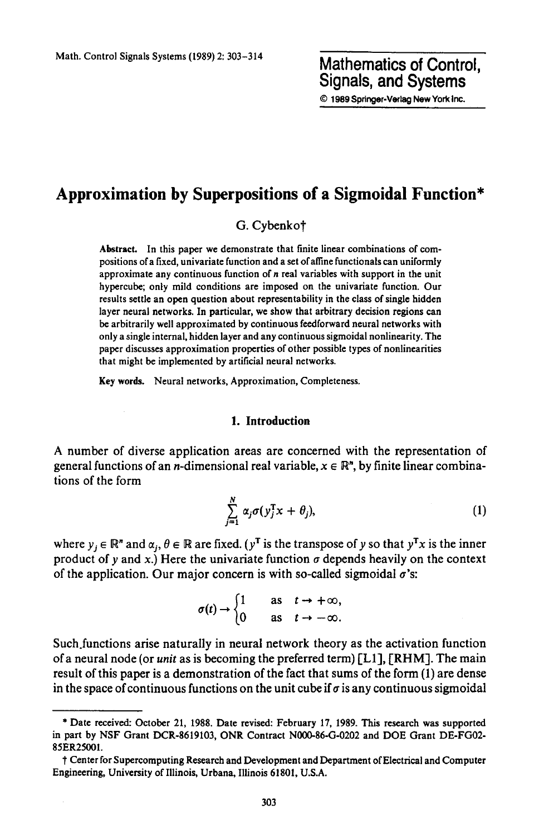## **Approximation by Superpositions of a Sigmoidal Function\***

G. Cybenkot

Abstract. In this paper we demonstrate that finite linear combinations of compositions of a fixed, univariate function and a set ofaffine functionals can uniformly approximate any continuous function of n real variables with support in the unit hypercube; only mild conditions are imposed on the univariate function. Our results settle an open question about representability in the class of single bidden layer neural networks. In particular, we show that arbitrary decision regions can be arbitrarily well approximated by continuous feedforward neural networks with only a single internal, hidden layer and any continuous sigmoidal nonlinearity. The paper discusses approximation properties of other possible types of nonlinearities that might be implemented by artificial neural networks.

Key words. Neural networks, Approximation, Completeness.

#### **1. Introduction**

A number of diverse application areas are concerned with the representation of general functions of an *n*-dimensional real variable,  $x \in \mathbb{R}^n$ , by finite linear combinations of the form

$$
\sum_{j=1}^N \alpha_j \sigma(y_j^{\mathrm{T}} x + \theta_j), \tag{1}
$$

where  $y_j \in \mathbb{R}^n$  and  $\alpha_j, \theta \in \mathbb{R}$  are fixed. (y<sup>T</sup> is the transpose of y so that  $y^Tx$  is the inner product of y and x.) Here the univariate function  $\sigma$  depends heavily on the context of the application. Our major concern is with so-called sigmoidal  $\sigma$ 's:

$$
\sigma(t) \to \begin{cases} 1 & \text{as } t \to +\infty, \\ 0 & \text{as } t \to -\infty. \end{cases}
$$

Such.functions arise naturally in neural network theory as the activation function of a neural node (or *unit* as is becoming the preferred term) [L1], [RHM]. The main result of this paper is a demonstration of the fact that sums of the form (1) are dense in the space of continuous functions on the unit cube if  $\sigma$  is any continuous sigmoidal

<sup>\*</sup> Date received: October 21, 1988. Date revised: February 17, 1989. This research was supported in part by NSF Grant DCR-8619103, ONR Contract N000-86-G-0202 and DOE Grant DE-FG02- 85ER25001.

t Center for Supercomputing Research and Development and Department of Electrical and Computer Engineering, University of Illinois, Urbana, Illinois 61801, U.S.A.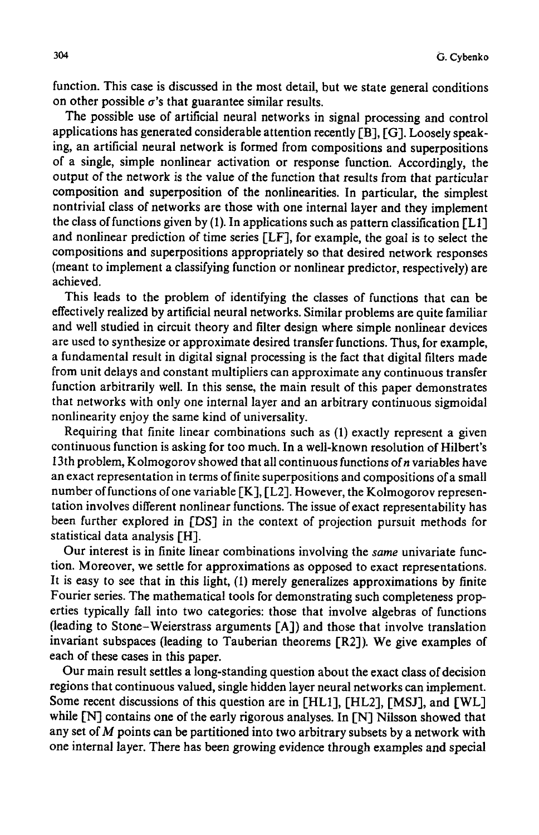function. This case is discussed in the most detail, but we state general conditions on other possible  $\sigma$ 's that guarantee similar results.

The possible use of artificial neural networks in signal processing and control applications has generated considerable attention recently [B], [G]. Loosely speaking, an artificial neural network is formed from compositions and superpositions of a single, simple nonlinear activation or response function. Accordingly, the output of the network is the value of the function that results from that particular composition and superposition of the nonlinearities. In particular, the simplest nontrivial class of networks are those with one internal layer and they implement the class of functions given by (1). In applications such as pattern classification  $[L1]$ and nonlinear prediction of time series [LF], for example, the goal is to select the compositions and superpositions appropriately so that desired network responses (meant to implement a classifying function or nonlinear predictor, respectively) are achieved.

This leads to the problem of identifying the classes of functions that can be effectively realized by artificial neural networks. Similar problems are quite familiar and well studied in circuit theory and filter design where simple nonlinear devices are used to synthesize or approximate desired transfer functions. Thus, for example, a fundamental result in digital signal processing is the fact that digital filters made from unit delays and constant multipliers can approximate any continuous transfer function arbitrarily well. In this sense, the main result of this paper demonstrates that networks with only one internal layer and an arbitrary continuous sigmoidal nonlinearity enjoy the same kind of universality.

Requiring that finite linear combinations such as (1) exactly represent a given continuous function is asking for too much. In a well-known resolution of Hilbert's 13th problem, Kolmogorov showed that all continuous functions of  $n$  variables have an exact representation in terms of finite superpositions and compositions of a small number of functions of one variable  $[K]$ ,  $[L2]$ . However, the Kolmogorov representation involves different nonlinear functions. The issue of exact representability has been further explored in [DS] in the context of projection pursuit methods for statistical data analysis [H].

Our interest is in finite linear combinations involving the *same* univariate function. Moreover, we settle for approximations as opposed to exact representations. It is easy to see that in this light, (I) merely generalizes approximations by finite Fourier series. The mathematical tools for demonstrating such completeness properties typically fall into two categories: those that involve algebras of functions (leading to Stone-Weierstrass arguments [A]) and those that involve translation invariant subspaces (leading to Tauberian theorems [R2]). We give examples of each of these cases in this paper.

Our main result settles a long-standing question about the exact class of decision regions that continuous valued, single hidden layer neural networks can implement. Some recent discussions of this question are in [HL1], [HL2], [MSJ], and [WL] while [N] contains one of the early rigorous analyses. In [N] Nilsson showed that any set of M points can be partitioned into two arbitrary subsets by a network with one internal layer. There has been growing evidence through examples and special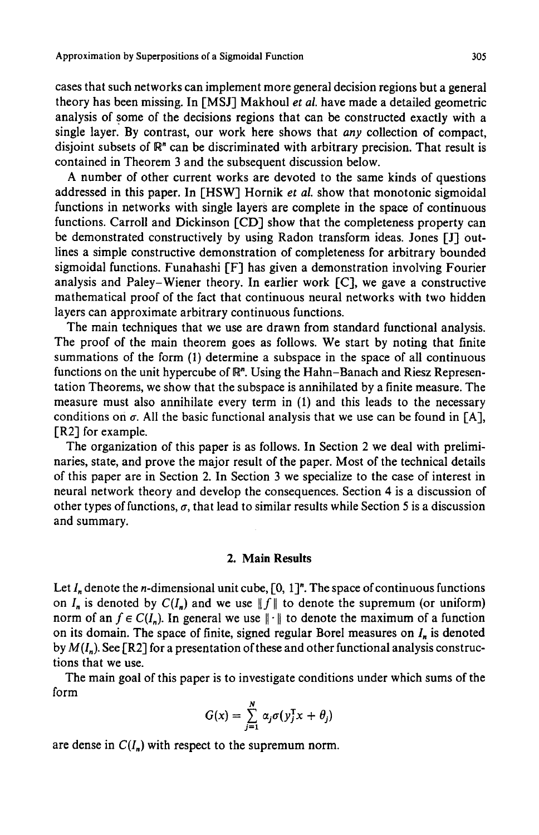cases that such networks can implement more general decision regions but a general theory has been missing. In [MSJ] Makhoul *et al.* have made a detailed geometric analysis of some of the decisions regions that can be constructed exactly with a single layer. By contrast, our work here shows that *any* collection of compact, disjoint subsets of  $\mathbb{R}^n$  can be discriminated with arbitrary precision. That result is contained in Theorem 3 and the subsequent discussion below.

A number of other current works are devoted to the same kinds of questions addressed in this paper. In [HSW] Hornik *et al.* show that monotonic sigmoidal functions in networks with single layers are complete in the space of continuous functions. Carroll and Dickinson [CD] show that the completeness property can be demonstrated constructively by using Radon transform ideas. Jones [J] outlines a simple constructive demonstration of completeness for arbitrary bounded sigmoidal functions. Funahashi [F] has given a demonstration involving Fourier analysis and Paley-Wiener theory. In earlier work [C], we gave a constructive mathematical proof of the fact that continuous neural networks with two hidden layers can approximate arbitrary continuous functions.

The main techniques that we use are drawn from standard functional analysis. The proof of the main theorem goes as follows. We start by noting that finite summations of the form (1) determine a subspace in the space of all continuous functions on the unit hypercube of  $\mathbb{R}^n$ . Using the Hahn-Banach and Riesz Representation Theorems, we show that the subspace is annihilated by a finite measure. The measure must also annihilate every term in (1) and this leads to the necessary conditions on  $\sigma$ . All the basic functional analysis that we use can be found in [A], [R2] for example.

The organization of this paper is as follows. In Section 2 we deal with preliminaries, state, and prove the major result of the paper. Most of the technical details of this paper are in Section 2. In Section 3 we specialize to the case of interest in neural network theory and develop the consequences. Section 4 is a discussion of other types of functions,  $\sigma$ , that lead to similar results while Section 5 is a discussion and summary.

### **2. Main Results**

Let  $I_n$  denote the *n*-dimensional unit cube,  $[0, 1]^n$ . The space of continuous functions on  $I_n$  is denoted by  $C(I_n)$  and we use  $||f||$  to denote the supremum (or uniform) norm of an  $f \in C(I_n)$ . In general we use  $\|\cdot\|$  to denote the maximum of a function on its domain. The space of finite, signed regular Borel measures on  $I_n$  is denoted by  $M(I_n)$ . See [R2] for a presentation of these and other functional analysis constructions that we use.

The main goal of this paper is to investigate conditions under which sums of the form

$$
G(x) = \sum_{j=1}^{N} \alpha_j \sigma(y_j^{\mathrm{T}} x + \theta_j)
$$

are dense in  $C(I_n)$  with respect to the supremum norm.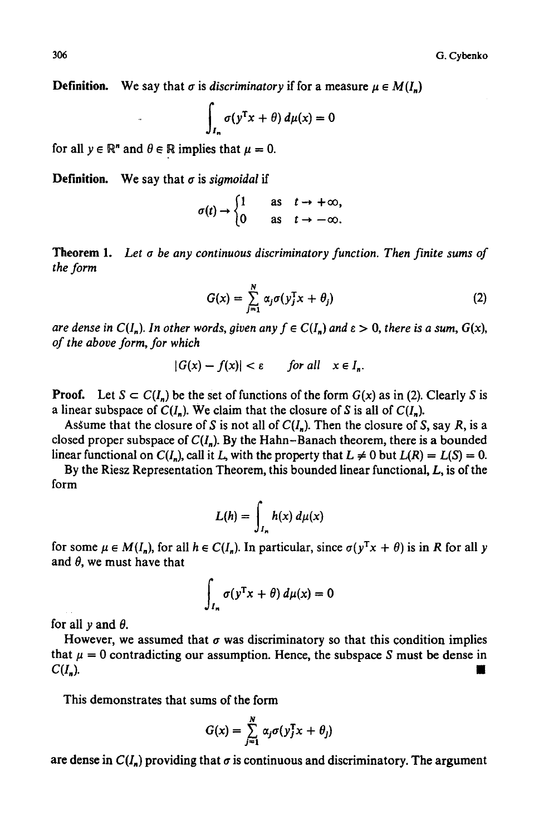**Definition.** We say that  $\sigma$  is *discriminatory* if for a measure  $\mu \in M(I_n)$ 

$$
\int_{I_n} \sigma(y^{\mathrm{T}} x + \theta) \, d\mu(x) = 0
$$

for all  $y \in \mathbb{R}^n$  and  $\theta \in \mathbb{R}$  implies that  $\mu = 0$ .

**Definition.** We say that  $\sigma$  is *sigmoidal* if

$$
\sigma(t) \to \begin{cases} 1 & \text{as } t \to +\infty, \\ 0 & \text{as } t \to -\infty. \end{cases}
$$

Theorem 1. *Let a be any continuous discriminatory function. Then finite sums of the form* 

$$
G(x) = \sum_{j=1}^{N} \alpha_j \sigma(y_j^{\mathrm{T}} x + \theta_j)
$$
 (2)

*are dense in*  $C(I_n)$ *. In other words, given any*  $f \in C(I_n)$  *and*  $\varepsilon > 0$ *, there is a sum,*  $G(x)$ *, of the above form, for which* 

$$
|G(x) - f(x)| < \varepsilon \qquad \text{for all} \quad x \in I_n.
$$

**Proof.** Let  $S \subset C(I_n)$  be the set of functions of the form  $G(x)$  as in (2). Clearly S is a linear subspace of  $C(I_n)$ . We claim that the closure of S is all of  $C(I_n)$ .

Assume that the closure of S is not all of  $C(I_n)$ . Then the closure of S, say R, is a closed proper subspace of  $C(I_n)$ . By the Hahn-Banach theorem, there is a bounded linear functional on  $C(I_n)$ , call it  $L$ , with the property that  $L \neq 0$  but  $L(R) = L(S) = 0$ .

By the Riesz Representation Theorem, this bounded linear functional, L, is of the form

$$
L(h) = \int_{I_n} h(x) \, d\mu(x)
$$

for some  $\mu \in M(I_n)$ , for all  $h \in C(I_n)$ . In particular, since  $\sigma(y^Tx + \theta)$  is in R for all y and  $\theta$ , we must have that

$$
\int_{I_n} \sigma(y^{\mathrm{T}} x + \theta) \, d\mu(x) = 0
$$

for all  $y$  and  $\theta$ .

However, we assumed that  $\sigma$  was discriminatory so that this condition implies that  $\mu = 0$  contradicting our assumption. Hence, the subspace S must be dense in  $C(I_n)$ .

This demonstrates that sums of the form

$$
G(x) = \sum_{j=1}^{N} \alpha_j \sigma(y_j^{\mathrm{T}} x + \theta_j)
$$

are dense in  $C(I_n)$  providing that  $\sigma$  is continuous and discriminatory. The argument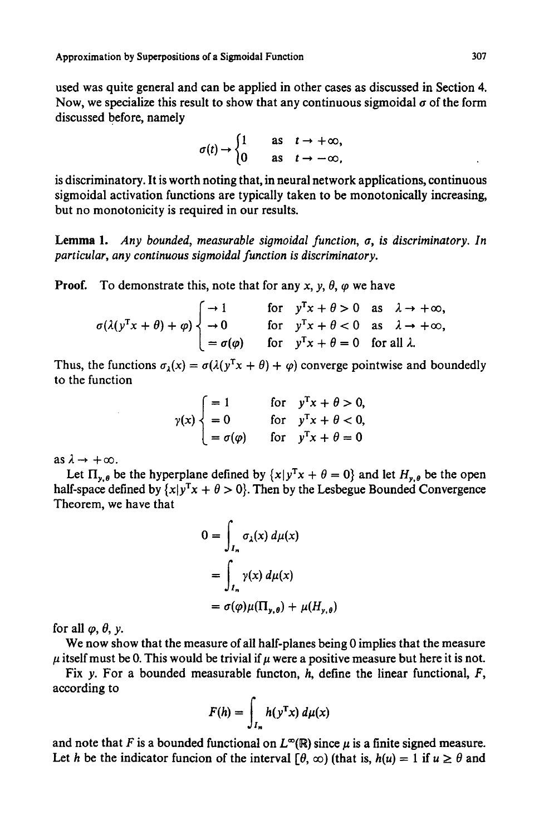used was quite general and can be applied in other cases as discussed in Section 4. Now, we specialize this result to show that any continuous sigmoidal  $\sigma$  of the form discussed before, namely

$$
\sigma(t) \to \begin{cases} 1 & \text{as } t \to +\infty, \\ 0 & \text{as } t \to -\infty, \end{cases}
$$

is discriminatory. It is worth noting that, in neural network applications, continuous sigmoidal activation functions are typically taken to be monotonically increasing, but no monotonicity is required in our results.

Lemma 1. *Any bounded, measurable siomoidal function, a, is discriminatory. In particular, any continuous siomoidal function is discriminatory.* 

**Proof.** To demonstrate this, note that for any x, y,  $\theta$ ,  $\varphi$  we have

$$
\sigma(\lambda(y^Tx + \theta) + \varphi) \begin{cases}\n\to 1 & \text{for } y^Tx + \theta > 0 \text{ as } \lambda \to +\infty, \\
\to 0 & \text{for } y^Tx + \theta < 0 \text{ as } \lambda \to +\infty, \\
= \sigma(\varphi) & \text{for } y^Tx + \theta = 0 \text{ for all } \lambda.\n\end{cases}
$$

Thus, the functions  $\sigma_{\lambda}(x) = \sigma(\lambda(y^{T}x + \theta) + \varphi)$  converge pointwise and boundedly to the function

$$
\gamma(x) \begin{cases}\n= 1 & \text{for} \quad y^{\mathrm{T}}x + \theta > 0, \\
= 0 & \text{for} \quad y^{\mathrm{T}}x + \theta < 0, \\
= \sigma(\varphi) & \text{for} \quad y^{\mathrm{T}}x + \theta = 0\n\end{cases}
$$

as  $\lambda \rightarrow +\infty$ .

Let  $\Pi_{y,\theta}$  be the hyperplane defined by  $\{x|y^Tx + \theta = 0\}$  and let  $H_{y,\theta}$  be the open half-space defined by  $\{x|y^{T}x + \theta > 0\}$ . Then by the Lesbegue Bounded Convergence Theorem, we have that

$$
0 = \int_{I_n} \sigma_{\lambda}(x) d\mu(x)
$$
  
= 
$$
\int_{I_n} \gamma(x) d\mu(x)
$$
  
= 
$$
\sigma(\varphi)\mu(\Pi_{y,\theta}) + \mu(H_{y,\theta})
$$

for all  $\varphi$ ,  $\theta$ ,  $\gamma$ .

We now show that the measure of all half-planes being 0 implies that the measure  $\mu$  itself must be 0. This would be trivial if  $\mu$  were a positive measure but here it is not.

Fix y. For a bounded measurable functon,  $h$ , define the linear functional,  $F$ , according to

$$
F(h) = \int_{I_n} h(y^{\mathrm{T}} x) \, d\mu(x)
$$

and note that F is a bounded functional on  $L^{\infty}(\mathbb{R})$  since  $\mu$  is a finite signed measure. Let h be the indicator funcion of the interval  $\lceil \theta, \infty \rceil$  (that is,  $h(u) = 1$  if  $u \ge \theta$  and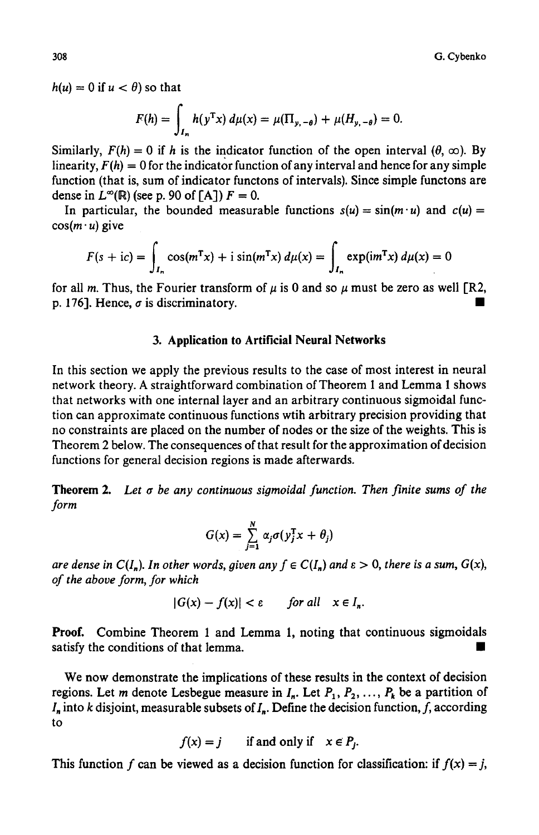$h(u) = 0$  if  $u < \theta$ ) so that

$$
F(h) = \int_{I_n} h(y^{\mathrm{T}} x) \, d\mu(x) = \mu(\Pi_{y, -\theta}) + \mu(H_{y, -\theta}) = 0.
$$

Similarly,  $F(h) = 0$  if h is the indicator function of the open interval  $(\theta, \infty)$ . By linearity,  $F(h) = 0$  for the indicator function of any interval and hence for any simple function (that is, sum of indicator functons of intervals). Since simple functons are dense in  $L^{\infty}(\mathbb{R})$  (see p. 90 of [A])  $F = 0$ .

In particular, the bounded measurable functions  $s(u) = \sin(m \cdot u)$  and  $c(u) =$  $cos(m \cdot u)$  give

$$
F(s + ic) = \int_{I_n} \cos(m^{T}x) + i \sin(m^{T}x) d\mu(x) = \int_{I_n} \exp(im^{T}x) d\mu(x) = 0
$$

for all m. Thus, the Fourier transform of  $\mu$  is 0 and so  $\mu$  must be zero as well [R2, p. 176]. Hence,  $\sigma$  is discriminatory.

#### **3. Application to Artificial Neural Networks**

In this section we apply the previous results to the case of most interest in neural network theory. A straightforward combination of Theorem I and Lemma 1 shows that networks with one internal layer and an arbitrary continuous sigmoidal function can approximate continuous functions wtih arbitrary precision providing that no constraints are placed on the number of nodes or the size of the weights. This is Theorem 2 below. The consequences of that result for the approximation of decision functions for general decision regions is made afterwards.

**Theorem 2.** Let  $\sigma$  be any continuous sigmoidal function. Then finite sums of the *form* 

$$
G(x) = \sum_{j=1}^N \alpha_j \sigma(y_j^{\mathrm{T}} x + \theta_j)
$$

*are dense in*  $C(I_n)$ . In other words, given any  $f \in C(I_n)$  and  $\varepsilon > 0$ , there is a sum,  $G(x)$ , *of the above form, for which* 

$$
|G(x) - f(x)| < \varepsilon \qquad \text{for all} \quad x \in I_n.
$$

**Proof.** Combine Theorem 1 and Lemma 1, noting that continuous sigmoidals satisfy the conditions of that lemma.

We now demonstrate the implications of these results in the context of decision regions. Let m denote Lesbegue measure in  $I_n$ . Let  $P_1, P_2, \ldots, P_k$  be a partition of  $I_n$  into k disjoint, measurable subsets of  $I_n$ . Define the decision function, f, according to

$$
f(x) = j \qquad \text{if and only if} \quad x \in P_j.
$$

This function f can be viewed as a decision function for classification: if  $f(x) = j$ ,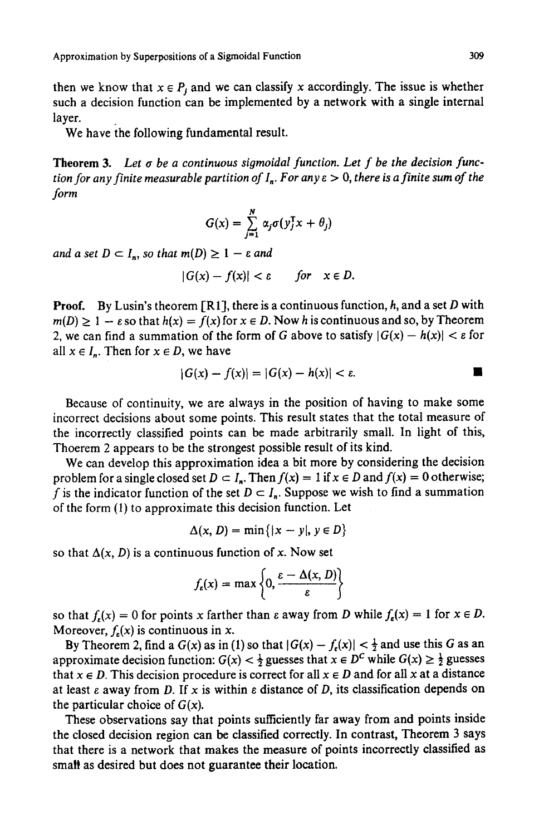then we know that  $x \in P_i$  and we can classify x accordingly. The issue is whether such a decision function can be implemented by a network with a single internal layer.

We have the following fundamental result.

**Theorem** 3. *Let a be a continuous sigmoidal function. Let f be the decision function for any finite measurable partition of*  $I_n$ *. For any*  $\varepsilon > 0$ *, there is a finite sum of the form* 

$$
G(x) = \sum_{j=1}^{N} \alpha_j \sigma(y_j^{\mathrm{T}} x + \theta_j)
$$

*and a set*  $D \subset I_n$ *, so that*  $m(D) \geq 1 - \varepsilon$  *and* 

$$
|G(x)-f(x)|<\varepsilon\qquad for\quad x\in D.
$$

**Proof.** By Lusin's theorem [R1], there is a continuous function,  $h$ , and a set  $D$  with  $m(D) \geq 1 - \varepsilon$  so that  $h(x) = f(x)$  for  $x \in D$ . Now h is continuous and so, by Theorem 2, we can find a summation of the form of G above to satisfy  $|G(x) - h(x)| < \varepsilon$  for all  $x \in I_n$ . Then for  $x \in D$ , we have

$$
|G(x) - f(x)| = |G(x) - h(x)| < \varepsilon.
$$

Because of continuity, we are always in the position of having to make some incorrect decisions about some points. This result states that the total measure of the incorrectly classified points can be made arbitrarily small. In light of this, Thoerem 2 appears to be the strongest possible result of its kind.

We can develop this approximation idea a bit more by considering the decision problem for a single closed set  $D \subset I_n$ . Then  $f(x) = 1$  if  $x \in D$  and  $f(x) = 0$  otherwise; f is the indicator function of the set  $D \subset I_n$ . Suppose we wish to find a summation of the form (1) to approximate this decision function. Let

$$
\Delta(x, D) = \min\{|x - y|, y \in D\}
$$

so that  $\Delta(x, D)$  is a continuous function of x. Now set

$$
f_{\varepsilon}(x) = \max \left\{ 0, \frac{\varepsilon - \Delta(x, D)}{\varepsilon} \right\}
$$

so that  $f_{\varepsilon}(x) = 0$  for points x farther than  $\varepsilon$  away from D while  $f_{\varepsilon}(x) = 1$  for  $x \in D$ . Moreover,  $f<sub>s</sub>(x)$  is continuous in x.

By Theorem 2, find a  $G(x)$  as in (1) so that  $|G(x) - f_{\epsilon}(x)| < \frac{1}{2}$  and use this G as an approximate decision function:  $G(x) < \frac{1}{2}$  guesses that  $x \in D^C$  while  $G(x) \geq \frac{1}{2}$  guesses that  $x \in D$ . This decision procedure is correct for all  $x \in D$  and for all x at a distance at least  $\varepsilon$  away from D. If x is within  $\varepsilon$  distance of D, its classification depends on the particular choice of  $G(x)$ .

These observations say that points sufficiently far away from and points inside the closed decision region can be classified correctly. In contrast, Theorem 3 says that there is a network that makes the measure of points incorrectly classified as small as desired but does not guarantee their location.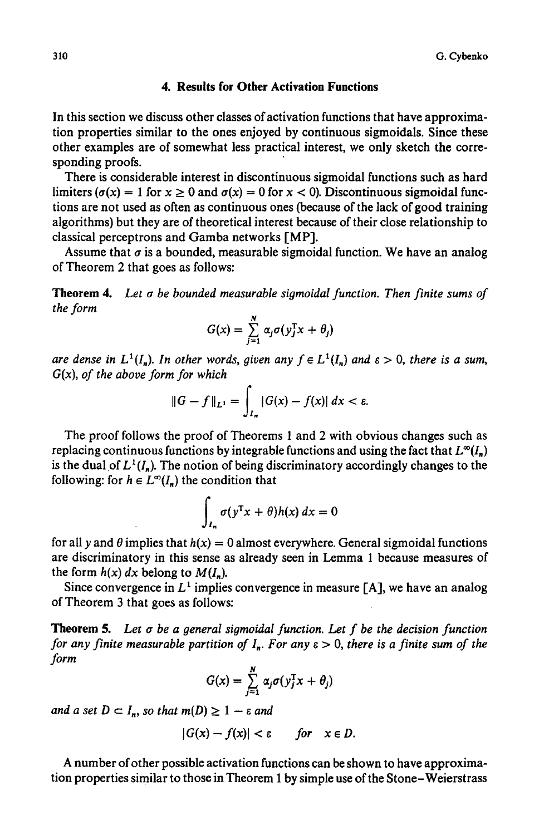#### **4. Results for Other Activation Functions**

In this section we discuss other classes of activation functions that have approximation properties similar to the ones enjoyed by continuous sigmoidals. Since these other examples are of somewhat less practical interest, we only sketch the corresponding proofs.

There is considerable interest in discontinuous sigmoidal functions such as hard limiters ( $\sigma(x) = 1$  for  $x \ge 0$  and  $\sigma(x) = 0$  for  $x < 0$ ). Discontinuous sigmoidal functions are not used as often as continuous ones (because of the lack of good training algorithms) but they are of theoretical interest because of their close relationship to classical perceptrons and Gamba networks [MP].

Assume that  $\sigma$  is a bounded, measurable sigmoidal function. We have an analog of Theorem 2 that goes as follows:

**Theorem** 4. *Let tr be bounded measurable sigmoidal function. Then finite sums of the form* 

$$
G(x) = \sum_{j=1}^{N} \alpha_j \sigma(y_j^{\mathrm{T}} x + \theta_j)
$$

*are dense in L*<sup>1</sup>(*I<sub>n</sub>*). *In other words, given any*  $f \in L^1(I_n)$  *and*  $\varepsilon > 0$ *, there is a sum,* G(x), *of the above form for which* 

$$
\|G - f\|_{L^1} = \int_{I_n} |G(x) - f(x)| \, dx < \varepsilon.
$$

The proof follows the proof of Theorems 1 and 2 with obvious changes such as replacing continuous functions by integrable functions and using the fact that  $L^{\infty}(I_n)$ is the dual of  $L^1(I_n)$ . The notion of being discriminatory accordingly changes to the following: for  $h \in L^{\infty}(I_n)$  the condition that

$$
\int_{I_n} \sigma(y^{\mathrm{T}} x + \theta) h(x) \, dx = 0
$$

for all y and  $\theta$  implies that  $h(x) = 0$  almost everywhere. General sigmoidal functions are discriminatory in this sense as already seen in Lemma 1 because measures of the form  $h(x)$  dx belong to  $M(I_n)$ .

Since convergence in  $L^1$  implies convergence in measure [A], we have an analog of Theorem 3 that goes as follows:

**Theorem 5.** Let  $\sigma$  be a general sigmoidal function. Let  $f$  be the decision function *for any finite measurable partition of*  $I_n$ *. For any*  $\varepsilon > 0$ *, there is a finite sum of the form* 

$$
G(x) = \sum_{j=1}^N \alpha_j \sigma(y_j^{\mathrm{T}} x + \theta_j)
$$

*and a set*  $D \subset I_n$ *, so that*  $m(D) \geq 1 - \varepsilon$  *and* 

$$
|G(x)-f(x)|<\varepsilon\qquad for\quad x\in D.
$$

A number of other possible activation functions can be shown to have approximation properties similar to those in Theorem 1 by simple use of the Stone-Weierstrass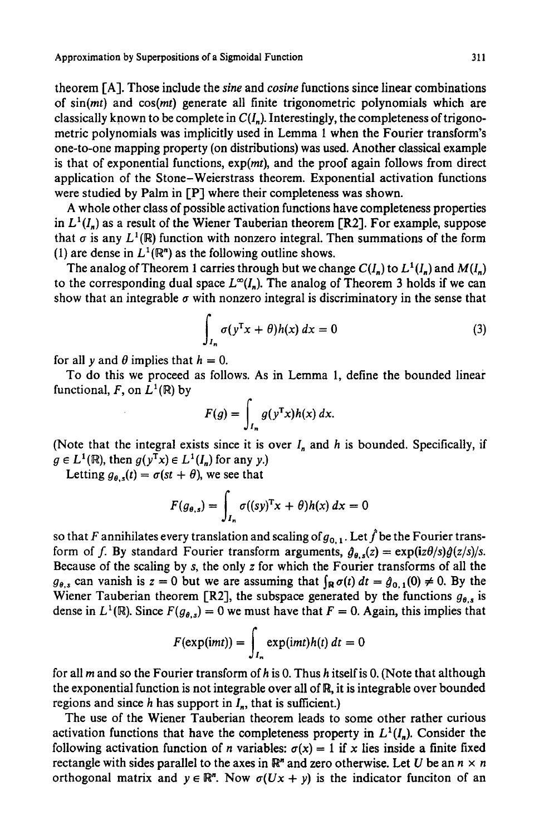Approximation by Superpositions of a Sigmoidal Function 311

theorem I-A]. Those include the *sine* and *cosine* functions since linear combinations of  $sin(mt)$  and  $cos(mt)$  generate all finite trigonometric polynomials which are classically known to be complete in *C(I.).* Interestingly, the completeness of trigonometric polynomials was implicitly used in Lemma 1 when the Fourier transform's one-to-one mapping property (on distributions) was used. Another classical example is that of exponential functions,  $exp(mt)$ , and the proof again follows from direct application of the Stone-Weierstrass theorem. Exponential activation functions were studied by Palm in [P] where their completeness was shown.

A whole other class of possible activation functions have completeness properties in  $L^1(I_n)$  as a result of the Wiener Tauberian theorem [R2]. For example, suppose that  $\sigma$  is any  $L^1(\mathbb{R})$  function with nonzero integral. Then summations of the form (1) are dense in  $L^1(\mathbb{R}^n)$  as the following outline shows.

The analog of Theorem 1 carries through but we change  $C(I_n)$  to  $L^1(I_n)$  and  $M(I_n)$ to the corresponding dual space  $L^{\infty}(I_n)$ . The analog of Theorem 3 holds if we can show that an integrable  $\sigma$  with nonzero integral is discriminatory in the sense that

$$
\int_{I_n} \sigma(y^{\mathrm{T}} x + \theta) h(x) \, dx = 0 \tag{3}
$$

for all y and  $\theta$  implies that  $h = 0$ .

To do this we proceed as follows. As in Lemma 1, define the bounded linear functional, F, on  $L^1(\mathbb{R})$  by

$$
F(g) = \int_{I_n} g(y^{\mathrm{T}} x) h(x) \, dx.
$$

(Note that the integral exists since it is over  $I_n$  and h is bounded. Specifically, if  $g \in L^1(\mathbb{R})$ , then  $g(y^Tx) \in L^1(I_n)$  for any y.)

Letting  $g_{\theta,s}(t) = \sigma(st + \theta)$ , we see that

$$
F(g_{\theta,s}) = \int_{I_n} \sigma((sy)^{\mathrm{T}}x + \theta)h(x) dx = 0
$$

so that F annihilates every translation and scaling of  $g_{0,1}$ . Let  $\hat{f}$  be the Fourier transform of f. By standard Fourier transform arguments,  $\hat{g}_{\theta,s}(z) = \exp(i z \theta/s) \hat{g}(z/s)/s$ . Because of the scaling by s, the only z for which the Fourier transforms of all the  $g_{\theta,s}$  can vanish is  $z = 0$  but we are assuming that  $\int_{\mathbb{R}} \sigma(t) dt = \hat{g}_{0,1}(0) \neq 0$ . By the Wiener Tauberian theorem [R2], the subspace generated by the functions  $g_{\theta,s}$  is dense in  $L^1(\mathbb{R})$ . Since  $F(g_{\theta,s}) = 0$  we must have that  $F = 0$ . Again, this implies that

$$
F(\exp(imt)) = \int_{I_n} \exp(imt)h(t) dt = 0
$$

for all  $m$  and so the Fourier transform of  $h$  is 0. Thus  $h$  itself is 0. (Note that although the exponential function is not integrable over all of R, it is integrable over bounded regions and since h has support in  $I_n$ , that is sufficient.)

The use of the Wiener Tauberian theorem leads to some other rather curious activation functions that have the completeness property in  $L^1(I_n)$ . Consider the following activation function of *n* variables:  $\sigma(x) = 1$  if x lies inside a finite fixed rectangle with sides parallel to the axes in  $\mathbb{R}^n$  and zero otherwise. Let U be an  $n \times n$ orthogonal matrix and  $y \in \mathbb{R}^n$ . Now  $\sigma(Ux + y)$  is the indicator funciton of an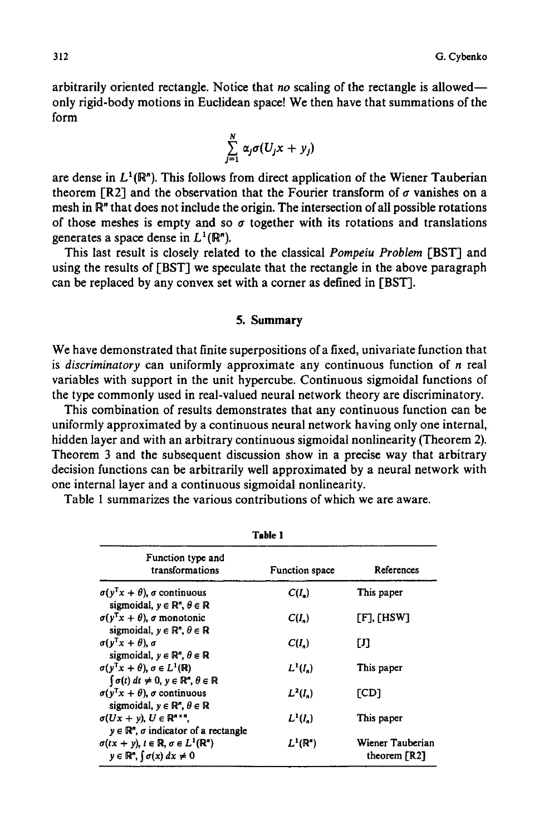arbitrarily oriented rectangle. Notice that *no* scaling of the rectangle is allowed- only rigid-body motions in Euclidean space! We then have that summations of the form

$$
\sum_{j=1}^N \alpha_j \sigma(U_j x + y_j)
$$

are dense in  $L^1(\mathbb{R}^n)$ . This follows from direct application of the Wiener Tauberian theorem [R2] and the observation that the Fourier transform of  $\sigma$  vanishes on a mesh in R" that does not include the origin. The intersection of all possible rotations of those meshes is empty and so  $\sigma$  together with its rotations and translations generates a space dense in  $L^1(\mathbb{R}^n)$ .

This last result is closely related to the classical *Pompeiu Problem* [BST] and using the results of [BST] we speculate that the rectangle in the above paragraph can be replaced by any convex set with a corner as defined in [BST].

#### **5. Summary**

We have demonstrated that finite superpositions of a fixed, univariate function that is *discriminatory* can uniformly approximate any continuous function of n real variables with support in the unit hypercube. Continuous sigmoidal functions of the type commonly used in real-valued neural network theory are discriminatory.

This combination of results demonstrates that any continuous function can be uniformly approximated by a continuous neural network having only one internal, hidden layer and with an arbitrary continuous sigmoidal nonlinearity (Theorem 2). Theorem 3 and the subsequent discussion show in a precise way that arbitrary decision functions can be arbitrarily well approximated by a neural network with one internal layer and a continuous sigmoidal nonlinearity.

Table 1 summarizes the various contributions of which we are aware.

| Table 1                                                                                                                                                                           |                     |                                                |  |  |
|-----------------------------------------------------------------------------------------------------------------------------------------------------------------------------------|---------------------|------------------------------------------------|--|--|
| Function type and<br>transformations                                                                                                                                              | Function space      | References                                     |  |  |
| $\sigma(y^{T}x + \theta)$ , $\sigma$ continuous                                                                                                                                   | $C(I_n)$            | This paper                                     |  |  |
| sigmoidal, $y \in \mathbb{R}^n$ , $\theta \in \mathbb{R}$<br>$\sigma(y^{T}x + \theta)$ , $\sigma$ monotonic<br>sigmoidal, $y \in \mathbb{R}^n$ , $\theta \in \mathbb{R}$          | $C(I_n)$            | $[F]$ , $[$ HSW]                               |  |  |
| $\sigma(v^{\mathsf{T}}x+\theta)$ , $\sigma$                                                                                                                                       | $C(I_n)$            | IJ                                             |  |  |
| sigmoidal, $y \in \mathbb{R}^n$ , $\theta \in \mathbb{R}$<br>$\sigma(v^{T}x + \theta), \sigma \in L^{1}(\mathbb{R})$                                                              | $L^1(I_n)$          | This paper                                     |  |  |
| $\int \sigma(t) dt \neq 0, y \in \mathbb{R}^n, \theta \in \mathbb{R}$<br>$\sigma(y^{T}x + \theta)$ , $\sigma$ continuous                                                          | $L^2(I_n)$          | [CD]                                           |  |  |
| sigmoidal, $y \in \mathbb{R}^n$ , $\theta \in \mathbb{R}$<br>$\sigma(Ux + y), U \in \mathbb{R}^{n \times n}$ ,                                                                    | $L^1(I_n)$          | This paper                                     |  |  |
| $y \in \mathbb{R}^n$ , $\sigma$ indicator of a rectangle<br>$\sigma(tx + y), t \in \mathbb{R}, \sigma \in L^1(\mathbb{R}^n)$<br>$y \in \mathbb{R}^n$ , $\int \sigma(x) dx \neq 0$ | $L^1(\mathbb{R}^n)$ | Wiener Tauberian<br>theorem $\lceil R2 \rceil$ |  |  |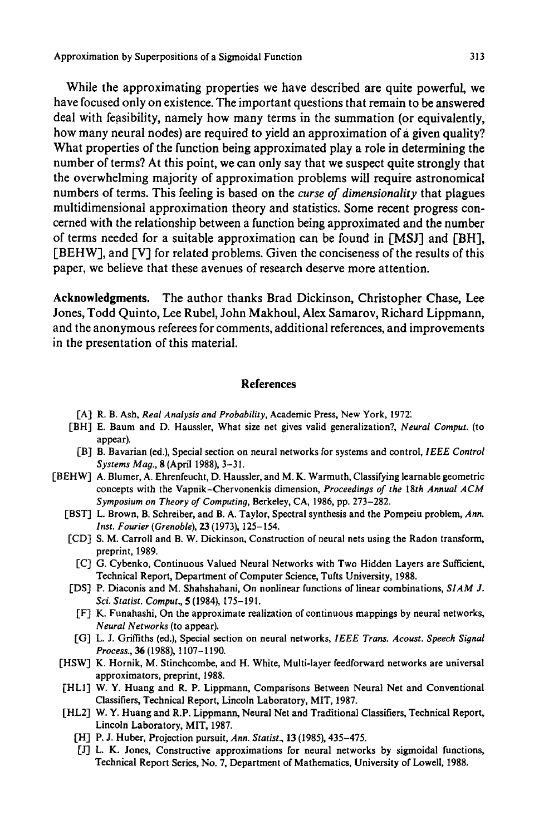Approximation by Superpositions of a Sigmoidal Function 313

**While the approximating properties we have described are quite powerful, we have focused only on existence. The important questions that remain to be answered**  deal with feasibility, namely how many terms in the summation (or equivalently, **how many neural nodes) are required to yield an approximation of a given quality? What properties of the function being approximated play a role in determining the number of terms? At this point, we can only say that we suspect quite strongly that the overwhelming majority of approximation problems will require astronomical numbers of terms. This feeling is based on the** *curse of dimensionality* **that plagues multidimensional approximation theory and statistics. Some recent progress concerned with the relationship between a function being approximated and the number of terms needed for a suitable approximation can be found in [MS J] and [BH], [BEHW]**, and [V] for related problems. Given the conciseness of the results of this **paper, we believe that these avenues of research deserve more attention.** 

**Acknowledgments. The author thanks Brad Dickinson, Christopher Chase, Lee Jones, Todd Quinto, Lee Rubel, John Makhoul, Alex Samarov, Richard Lippmann, and the anonymous referees for comments, additional references, and improvements in the presentation of this material.** 

#### **References**

- [A] R. B. Ash, *Real Analysis and Probability,* Academic Press, New York, 197Z
- **[BH]**  E. Baum and D. Haussler, What size net gives valid generalization?, *Neural Comput.* (to appear).
- **[B]**  B. Bavarian (ed.), Special section on neural networks for systems and control, *IEEE Control Systems Mag.,* 8 (April 1988), 3-31.
- **['BEHW]**  A. Blumer, A. Ehrenfeucht, D. Haussler, and M. K. Warmuth, Classifying learnable geometric concepts with the Vapnik-Chervonenkis dimension, *Proceedings of the 18th Annual ACM Symposium on Theory of Computing,* Berkeley, CA, 1986, pp. 273-282.
	- [BST] L. Brown, B. Schreiber, and B. A. Taylor, Spectral synthesis and the Pompeiu problem, *Ann. Inst. Fourier (Grenoble),* 23 (1973), 125-154.
	- [CD] S. M. Carroll and B. W. Dickinson, Construction of neural nets using the Radon transform, preprint, 1989.
		- [C] G. Cybenko, Continuous Valued Neural Networks with Two Hidden Layers are Sufficient, Technical Report, Department of Computer Science, Tufts University, 1988.
	- [DS] P. Diaconis and M. Shahshahani, On nonlinear functions of linear combinations, *SIAM J. Sci. Statist. Comput.,* 5 (1984), 175-191.
	- IF] K. Funahashi, On the approximate realization of continuous mappings by neural networks, *Neural Networks* (to appear).
	- [G] L. J. Griffiths (ed.), Special section on neural networks, *IEEE Trans. Acoust. Speech Signal Process., 36* (1988), 1107-1190.
	- [HSW] K. Hornik, M. Stinchcombe, and H. White, Multi-layer feedforward networks are universal approximators, preprint, 1988.
	- [HLI] W. Y. Huang and R. P. Lippmann, Comparisons Between Neural Net and Conventional Classifiers, Technical Report, Lincoln Laboratory, MIT, 1987.
	- [HL2] W. Y. Huang and R.P. Lippmann, Neural Net and Traditional Classifiers, Technical Report, Lincoln Laboratory, MIT, 1987.
		- [HI P. J. Huber, Projection pursuit, *Ann. Statist.,* 13 (1985), 435-475.
		- [J] L. K. Jones, Constructive approximations for neural networks by sigmoidal functions, Technical Report Series, No. 7, Department of Mathematics, University of Lowell, 1988.